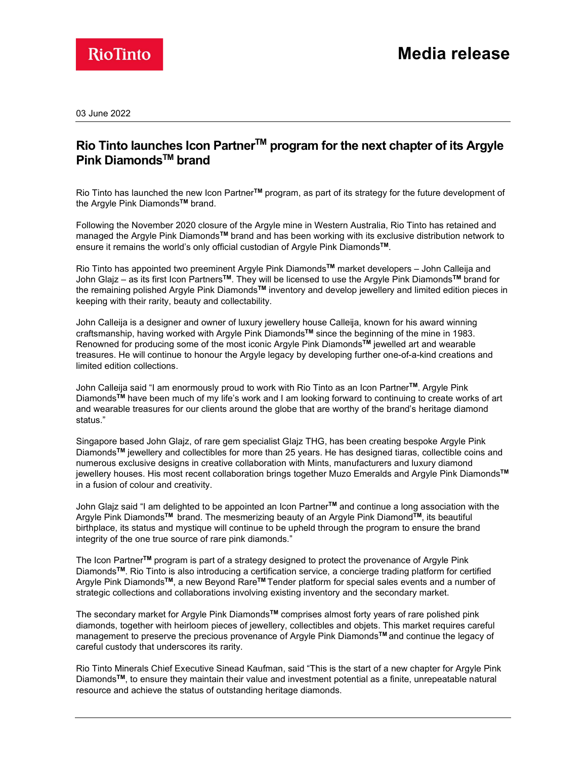

03 June 2022

## Rio Tinto launches Icon Partner™ program for the next chapter of its Argyle Pink Diamonds™ brand

Rio Tinto has launched the new Icon Partner<sup>™</sup> program, as part of its strategy for the future development of the Argyle Pink Diamonds<sup>™</sup> brand.

Following the November 2020 closure of the Argyle mine in Western Australia, Rio Tinto has retained and managed the Argyle Pink DiamondsTM brand and has been working with its exclusive distribution network to ensure it remains the world's only official custodian of Argyle Pink Diamonds™.<br>Rio Tinto has appointed two preeminent Argyle Pink Diamonds™ market developers – John Calleija and

John Glajz – as its first Icon Partners™. They will be licensed to use the Argyle Pink Diamonds™ brand for the remaining polished Argyle Pink DiamondsTM inventory and develop jewellery and limited edition pieces in keeping with their rarity, beauty and collectability.

John Calleija is a designer and owner of luxury jewellery house Calleija, known for his award winning craftsmanship, having worked with Argyle Pink DiamondsTM since the beginning of the mine in 1983. Renowned for producing some of the most iconic Argyle Pink Diamonds™ jewelled art and wearable treasures. He will continue to honour the Argyle legacy by developing further one-of-a-kind creations and limited edition collections.

John Calleija said "I am enormously proud to work with Rio Tinto as an Icon PartnerTM. Argyle Pink DiamondsTM have been much of my life's work and I am looking forward to continuing to create works of art and wearable treasures for our clients around the globe that are worthy of the brand's heritage diamond status."

Singapore based John Glajz, of rare gem specialist Glajz THG, has been creating bespoke Argyle Pink DiamondsTM jewellery and collectibles for more than 25 years. He has designed tiaras, collectible coins and numerous exclusive designs in creative collaboration with Mints, manufacturers and luxury diamond jewellery houses. His most recent collaboration brings together Muzo Emeralds and Argyle Pink Diamonds™ in a fusion of colour and creativity.

John Glajz said "I am delighted to be appointed an Icon Partner™ and continue a long association with the Argyle Pink Diamonds<sup>™</sup> brand. The mesmerizing beauty of an Argyle Pink Diamond™, its beautiful birthplace, its status and mystique will continue to be upheld through the program to ensure the brand integrity of the one true source of rare pink diamonds."

The Icon PartnerTM program is part of a strategy designed to protect the provenance of Argyle Pink DiamondsTM. Rio Tinto is also introducing a certification service, a concierge trading platform for certified Argyle Pink Diamonds™, a new Beyond Rare™ Tender platform for special sales events and a number of strategic collections and collaborations involving existing inventory and the secondary market.

The secondary market for Argyle Pink Diamonds<sup>™</sup> comprises almost forty years of rare polished pink diamonds, together with heirloom pieces of jewellery, collectibles and objets. This market requires careful management to preserve the precious provenance of Argyle Pink Diamonds™ and continue the legacy of careful custody that underscores its rarity.

Rio Tinto Minerals Chief Executive Sinead Kaufman, said "This is the start of a new chapter for Argyle Pink DiamondsTM, to ensure they maintain their value and investment potential as a finite, unrepeatable natural resource and achieve the status of outstanding heritage diamonds.